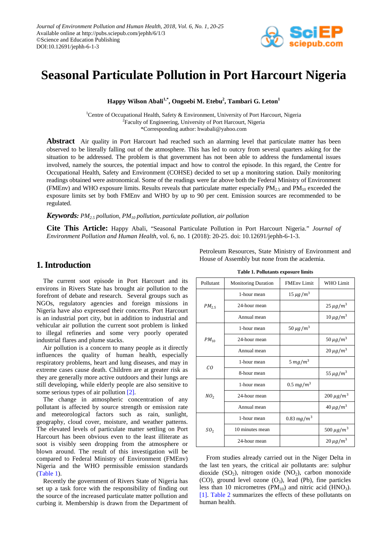

# **Seasonal Particulate Pollution in Port Harcourt Nigeria**

 $\bold{H}$ appy Wilson Abali $^{1,*}$ , Ongoebi M. Etebu $^2$ , Tambari G. Leton $^1$ 

<sup>1</sup>Centre of Occupational Health, Safety & Environment, University of Port Harcourt, Nigeria <sup>2</sup>Faculty of Engineering, University of Port Harcourt, Nigeria \*Corresponding author: hwabali@yahoo.com

**Abstract** Air quality in Port Harcourt had reached such an alarming level that particulate matter has been observed to be literally falling out of the atmosphere. This has led to outcry from several quarters asking for the situation to be addressed. The problem is that government has not been able to address the fundamental issues involved, namely the sources, the potential impact and how to control the episode. In this regard, the Centre for Occupational Health, Safety and Environment (COHSE) decided to set up a monitoring station. Daily monitoring readings obtained were astronomical. Some of the readings were far above both the Federal Ministry of Environment (FMEnv) and WHO exposure limits. Results reveals that particulate matter especially  $PM_{2.5}$  and  $PM_{10}$  exceeded the exposure limits set by both FMEnv and WHO by up to 90 per cent. Emission sources are recommended to be regulated.

#### *Keywords: PM2.5 pollution, PM10 pollution, particulate pollution, air pollution*

**Cite This Article:** Happy Abali, "Seasonal Particulate Pollution in Port Harcourt Nigeria." *Journal of Environment Pollution and Human Health*, vol. 6, no. 1 (2018): 20-25. doi: 10.12691/jephh-6-1-3.

# **1. Introduction**

The current soot episode in Port Harcourt and its environs in Rivers State has brought air pollution to the forefront of debate and research. Several groups such as NGOs, regulatory agencies and foreign missions in Nigeria have also expressed their concerns. Port Harcourt is an industrial port city, but in addition to industrial and vehicular air pollution the current soot problem is linked to illegal refineries and some very poorly operated industrial flares and plume stacks.

Air pollution is a concern to many people as it directly influences the quality of human health, especially respiratory problems, heart and lung diseases, and may in extreme cases cause death. Children are at greater risk as they are generally more active outdoors and their lungs are still developing, while elderly people are also sensitive to some serious types of air pollution [\[2\].](#page-5-0)

The change in atmospheric concentration of any pollutant is affected by source strength or emission rate and meteorological factors such as rain, sunlight, geography, cloud cover, moisture, and weather patterns. The elevated levels of particulate matter settling on Port Harcourt has been obvious even to the least illiterate as soot is visibly seen dropping from the atmosphere or blown around. The result of this investigation will be compared to Federal Ministry of Environment (FMEnv) Nigeria and the WHO permissible emission standards [\(Table 1\)](#page-0-0).

Recently the government of Rivers State of Nigeria has set up a task force with the responsibility of finding out the source of the increased particulate matter pollution and curbing it. Membership is drawn from the Department of Petroleum Resources, State Ministry of Environment and House of Assembly but none from the academia.

<span id="page-0-0"></span>

| Pollutant       | <b>Monitoring Duration</b> | <b>FMEnv Limit</b>       | <b>WHO</b> Limit           |
|-----------------|----------------------------|--------------------------|----------------------------|
| $PM_{2.5}$      | 1-hour mean                | $15 \mu g/m^3$           |                            |
|                 | 24-hour mean               |                          | $25 \mu g/m^3$             |
|                 | Annual mean                |                          | $10 \mu g/m^3$             |
| $PM_{10}$       | 1-hour mean                | $50 \mu g/m^3$           |                            |
|                 | 24-hour mean               |                          | $50 \mu g/m^3$             |
|                 | Annual mean                |                          | $20 \mu g/m^3$             |
| CO              | 1-hour mean                | 5 $mg/m^3$               |                            |
|                 | 8-hour mean                |                          | 55 $\mu$ g/m <sup>3</sup>  |
| NO <sub>2</sub> | 1-hour mean                | $0.5 \,\mathrm{m}g/m^3$  |                            |
|                 | 24-hour mean               |                          | $200 \mu g/m^3$            |
|                 | Annual mean                |                          | $40 \mu g/m^3$             |
| SO <sub>2</sub> | 1-hour mean                | $0.83 \,\mathrm{mg/m^3}$ |                            |
|                 | 10 minutes mean            |                          | 500 $\mu$ g/m <sup>3</sup> |
|                 | 24-hour mean               |                          | $20 \mu g/m^3$             |

**Table 1. Pollutants exposure limits** 

From studies already carried out in the Niger Delta in the last ten years, the critical air pollutants are: sulphur dioxide  $(SO_2)$ , nitrogen oxide  $(NO_2)$ , carbon monoxide (CO), ground level ozone  $(O_3)$ , lead (Pb), fine particles less than 10 micrometres ( $PM_{10}$ ) and nitric acid ( $HNO_3$ ). [\[1\].](#page-5-1) [Table 2](#page-1-0) summarizes the effects of these pollutants on human health.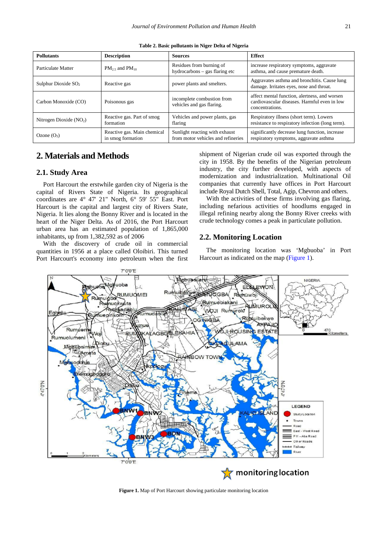<span id="page-1-0"></span>

| <b>Pollutants</b>        | <b>Description</b>                               | <b>Sources</b>                                                       | <b>Effect</b>                                                                                                    |
|--------------------------|--------------------------------------------------|----------------------------------------------------------------------|------------------------------------------------------------------------------------------------------------------|
| Particulate Matter       | $PM_2$ and $PM_{10}$                             | Residues from burning of<br>hydrocarbons – gas flaring etc           | increase respiratory symptoms, aggravate<br>asthma, and cause premature death.                                   |
| Sulphur Dioxide $SO2$    | Reactive gas                                     | power plants and smelters.                                           | Aggravates asthma and bronchitis. Cause lung<br>damage. Irritates eyes, nose and throat.                         |
| Carbon Monoxide (CO)     | Poisonous gas                                    | incomplete combustion from<br>vehicles and gas flaring.              | affect mental function, alertness, and worsen<br>cardiovascular diseases. Harmful even in low<br>concentrations. |
| Nitrogen Dioxide $(NO2)$ | Reactive gas. Part of smog<br>formation          | Vehicles and power plants, gas<br>flaring                            | Respiratory illness (short term). Lowers<br>resistance to respiratory infection (long term).                     |
| Ozone $(O_3)$            | Reactive gas. Main chemical<br>in smog formation | Sunlight reacting with exhaust<br>from motor vehicles and refineries | significantly decrease lung function, increase<br>respiratory symptoms, aggravate asthma                         |

**Table 2. Basic pollutants in Niger Delta of Nigeria**

## **2. Materials and Methods**

#### **2.1. Study Area**

Port Harcourt the erstwhile garden city of Nigeria is the capital of Rivers State of Nigeria. Its geographical coordinates are 4° 47' 21" North, 6° 59' 55" East. Port Harcourt is the capital and largest city of Rivers State, Nigeria. It lies along the Bonny River and is located in the heart of the Niger Delta. As of 2016, the Port Harcourt urban area has an estimated population of 1,865,000 inhabitants, up from 1,382,592 as of 2006

With the discovery of crude oil in commercial quantities in 1956 at a place called Oloibiri. This turned Port Harcourt's economy into petroleum when the first shipment of Nigerian crude oil was exported through the city in 1958. By the benefits of the Nigerian petroleum industry, the city further developed, with aspects of modernization and industrialization. Multinational Oil companies that currently have offices in Port Harcourt include Royal Dutch Shell, Total, Agip, Chevron and others.

With the activities of these firms involving gas flaring, including nefarious activities of hoodlums engaged in illegal refining nearby along the Bonny River creeks with crude technology comes a peak in particulate pollution.

## **2.2. Monitoring Location**

The monitoring location was 'Mgbuoba' in Port Harcourt as indicated on the map [\(Figure 1\)](#page-1-1).

<span id="page-1-1"></span>

**Figure 1.** Map of Port Harcourt showing particulate monitoring location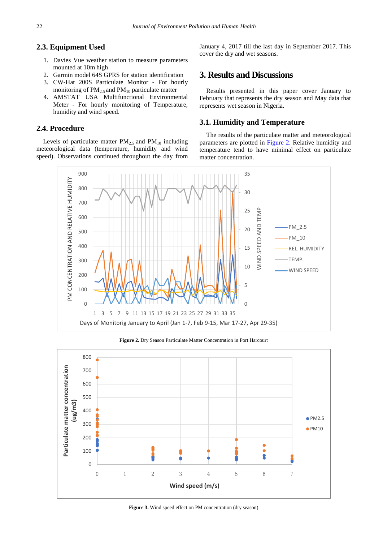## **2.3. Equipment Used**

- 1. Davies Vue weather station to measure parameters mounted at 10m high
- 2. Garmin model 64S GPRS for station identification
- 3. CW-Hat 200S Particulate Monitor For hourly monitoring of  $PM_{2.5}$  and  $PM_{10}$  particulate matter
- 4. AMSTAT USA Multifunctional Environmental Meter - For hourly monitoring of Temperature, humidity and wind speed.

## **2.4. Procedure**

Levels of particulate matter  $PM_{2.5}$  and  $PM_{10}$  including meteorological data (temperature, humidity and wind speed). Observations continued throughout the day from January 4, 2017 till the last day in September 2017. This cover the dry and wet seasons.

# **3. Results and Discussions**

Results presented in this paper cover January to February that represents the dry season and May data that represents wet season in Nigeria.

## **3.1. Humidity and Temperature**

The results of the particulate matter and meteorological parameters are plotted in [Figure 2.](#page-2-0) Relative humidity and temperature tend to have minimal effect on particulate matter concentration.

<span id="page-2-0"></span>

**Figure 2.** Dry Season Particulate Matter Concentration in Port Harcourt

<span id="page-2-1"></span>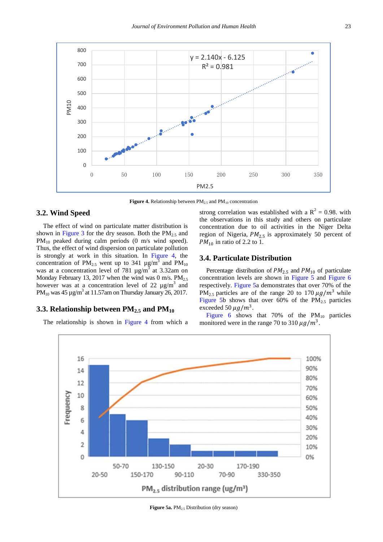<span id="page-3-0"></span>

**Figure 4.** Relationship between  $PM_{2.5}$  and  $PM_{10}$  concentration

#### **3.2. Wind Speed**

The effect of wind on particulate matter distribution is shown in [Figure 3](#page-2-1) for the dry season. Both the  $PM_{2.5}$  and  $PM_{10}$  peaked during calm periods (0 m/s wind speed). Thus, the effect of wind dispersion on particulate pollution is strongly at work in this situation. In [Figure 4,](#page-3-0) the concentration of PM<sub>2.5</sub> went up to 341  $\mu$ g/m<sup>3</sup> and PM<sub>10</sub> was at a concentration level of 781  $\mu$ g/m<sup>3</sup> at 3.32am on Monday February 13, 2017 when the wind was 0 m/s.  $PM_{2.5}$ however was at a concentration level of 22  $\mu$ g/m<sup>3</sup> and PM<sub>10</sub> was 45  $\mu$ g/m<sup>3</sup> at 11.57am on Thursday January 26, 2017.

## **3.3. Relationship between PM2.5 and PM10**

<span id="page-3-1"></span>The relationship is shown in [Figure 4](#page-3-0) from which a

strong correlation was established with a  $R^2 = 0.98$ . with the observations in this study and others on particulate concentration due to oil activities in the Niger Delta region of Nigeria,  $PM_{2.5}$  is approximately 50 percent of  $PM_{10}$  in ratio of 2.2 to 1.

#### **3.4. Particulate Distribution**

Percentage distribution of  $PM_{2.5}$  and  $PM_{10}$  of particulate concentration levels are shown in [Figure 5](#page-3-1) and [Figure 6](#page-4-0) respectively. [Figure 5a](#page-3-1) demonstrates that over 70% of the PM<sub>2.5</sub> particles are of the range 20 to 170  $\mu$ g/m<sup>3</sup> while [Figure 5b](#page-3-1) shows that over 60% of the  $PM_{2.5}$  particles exceeded 50  $\mu$ g/m<sup>3</sup>.

[Figure 6](#page-4-0) shows that 70% of the  $PM_{10}$  particles monitored were in the range 70 to 310  $\mu$ g/m<sup>3</sup>.



**Figure 5a.** PM<sub>2.5</sub> Distribution (dry season)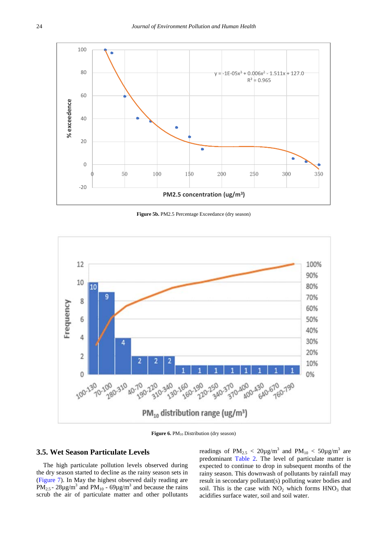<span id="page-4-0"></span>

**Figure 5b.** PM2.5 Percentage Exceedance (dry season)

<span id="page-4-1"></span>

**Figure 6.** PM<sub>10</sub> Distribution (dry season)

#### **3.5. Wet Season Particulate Levels**

The high particulate pollution levels observed during the dry season started to decline as the rainy season sets in [\(Figure 7\)](#page-4-1). In May the highest observed daily reading are PM<sub>2.5</sub> - 28 $\mu$ g/m<sup>3</sup> and PM<sub>10</sub> - 69 $\mu$ g/m<sup>3</sup> and because the rains scrub the air of particulate matter and other pollutants readings of PM<sub>2.5</sub> <  $20\mu\text{g/m}^3$  and PM<sub>10</sub> <  $50\mu\text{g/m}^3$  are predominant [Table 2.](#page-1-0) The level of particulate matter is expected to continue to drop in subsequent months of the rainy season. This downwash of pollutants by rainfall may result in secondary pollutant(s) polluting water bodies and soil. This is the case with  $NO<sub>2</sub>$  which forms  $HNO<sub>3</sub>$  that acidifies surface water, soil and soil water.